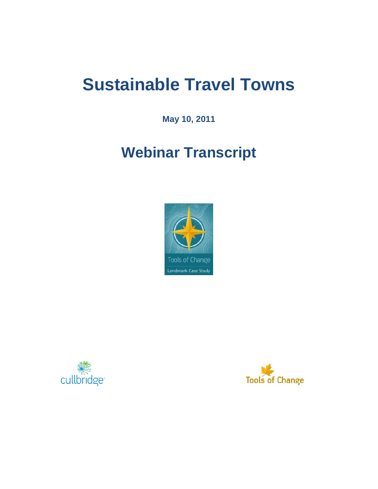# **Sustainable Travel Towns**

**May 10, 2011** 

## **Webinar Transcript**





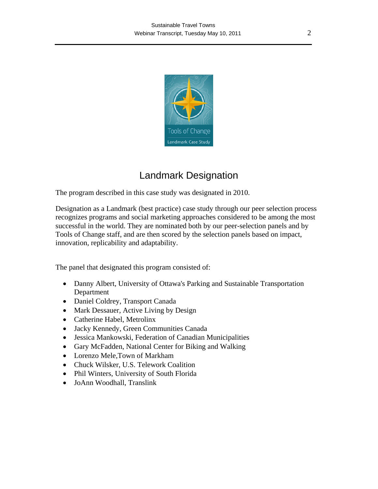

### Landmark Designation

The program described in this case study was designated in 2010.

Designation as a Landmark (best practice) case study through our peer selection process recognizes programs and social marketing approaches considered to be among the most successful in the world. They are nominated both by our peer-selection panels and by Tools of Change staff, and are then scored by the selection panels based on impact, innovation, replicability and adaptability.

The panel that designated this program consisted of:

- Danny Albert, University of Ottawa's Parking and Sustainable Transportation Department
- Daniel Coldrey, Transport Canada
- Mark Dessauer, Active Living by Design
- Catherine Habel, Metrolinx
- Jacky Kennedy, Green Communities Canada
- Jessica Mankowski, Federation of Canadian Municipalities
- Gary McFadden, National Center for Biking and Walking
- Lorenzo Mele,Town of Markham
- Chuck Wilsker, U.S. Telework Coalition
- Phil Winters, University of South Florida
- JoAnn Woodhall, Translink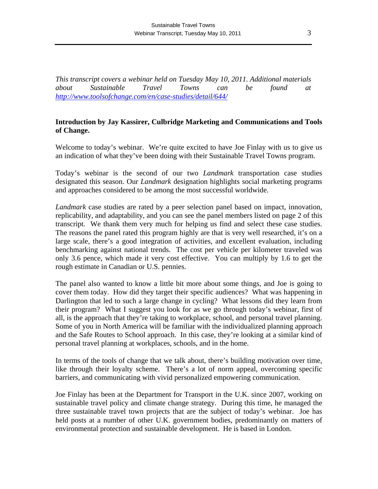*This transcript covers a webinar held on Tuesday May 10, 2011. Additional materials about Sustainable Travel Towns can be found at http://www.toolsofchange.com/en/case-studies/detail/644/*

#### **Introduction by Jay Kassirer, Culbridge Marketing and Communications and Tools of Change.**

Welcome to today's webinar. We're quite excited to have Joe Finlay with us to give us an indication of what they've been doing with their Sustainable Travel Towns program.

Today's webinar is the second of our two *Landmark* transportation case studies designated this season. Our *Landmark* designation highlights social marketing programs and approaches considered to be among the most successful worldwide.

*Landmark* case studies are rated by a peer selection panel based on impact, innovation, replicability, and adaptability, and you can see the panel members listed on page 2 of this transcript. We thank them very much for helping us find and select these case studies. The reasons the panel rated this program highly are that is very well researched, it's on a large scale, there's a good integration of activities, and excellent evaluation, including benchmarking against national trends. The cost per vehicle per kilometer traveled was only 3.6 pence, which made it very cost effective. You can multiply by 1.6 to get the rough estimate in Canadian or U.S. pennies.

The panel also wanted to know a little bit more about some things, and Joe is going to cover them today. How did they target their specific audiences? What was happening in Darlington that led to such a large change in cycling? What lessons did they learn from their program? What I suggest you look for as we go through today's webinar, first of all, is the approach that they're taking to workplace, school, and personal travel planning. Some of you in North America will be familiar with the individualized planning approach and the Safe Routes to School approach. In this case, they're looking at a similar kind of personal travel planning at workplaces, schools, and in the home.

In terms of the tools of change that we talk about, there's building motivation over time, like through their loyalty scheme. There's a lot of norm appeal, overcoming specific barriers, and communicating with vivid personalized empowering communication.

Joe Finlay has been at the Department for Transport in the U.K. since 2007, working on sustainable travel policy and climate change strategy. During this time, he managed the three sustainable travel town projects that are the subject of today's webinar. Joe has held posts at a number of other U.K. government bodies, predominantly on matters of environmental protection and sustainable development. He is based in London.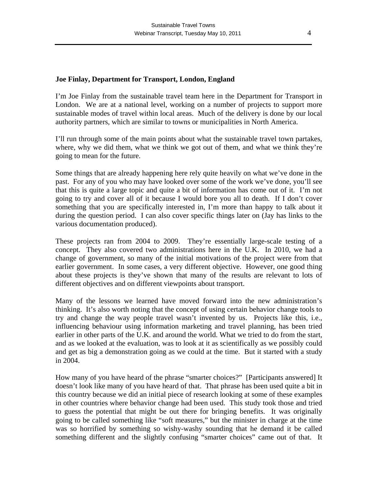#### **Joe Finlay, Department for Transport, London, England**

I'm Joe Finlay from the sustainable travel team here in the Department for Transport in London. We are at a national level, working on a number of projects to support more sustainable modes of travel within local areas. Much of the delivery is done by our local authority partners, which are similar to towns or municipalities in North America.

I'll run through some of the main points about what the sustainable travel town partakes, where, why we did them, what we think we got out of them, and what we think they're going to mean for the future.

Some things that are already happening here rely quite heavily on what we've done in the past. For any of you who may have looked over some of the work we've done, you'll see that this is quite a large topic and quite a bit of information has come out of it. I'm not going to try and cover all of it because I would bore you all to death. If I don't cover something that you are specifically interested in, I'm more than happy to talk about it during the question period. I can also cover specific things later on (Jay has links to the various documentation produced).

These projects ran from 2004 to 2009. They're essentially large-scale testing of a concept. They also covered two administrations here in the U.K. In 2010, we had a change of government, so many of the initial motivations of the project were from that earlier government. In some cases, a very different objective. However, one good thing about these projects is they've shown that many of the results are relevant to lots of different objectives and on different viewpoints about transport.

Many of the lessons we learned have moved forward into the new administration's thinking. It's also worth noting that the concept of using certain behavior change tools to try and change the way people travel wasn't invented by us. Projects like this, i.e., influencing behaviour using information marketing and travel planning, has been tried earlier in other parts of the U.K. and around the world. What we tried to do from the start, and as we looked at the evaluation, was to look at it as scientifically as we possibly could and get as big a demonstration going as we could at the time. But it started with a study in 2004.

How many of you have heard of the phrase "smarter choices?" [Participants answered] It doesn't look like many of you have heard of that. That phrase has been used quite a bit in this country because we did an initial piece of research looking at some of these examples in other countries where behavior change had been used. This study took those and tried to guess the potential that might be out there for bringing benefits. It was originally going to be called something like "soft measures," but the minister in charge at the time was so horrified by something so wishy-washy sounding that he demand it be called something different and the slightly confusing "smarter choices" came out of that. It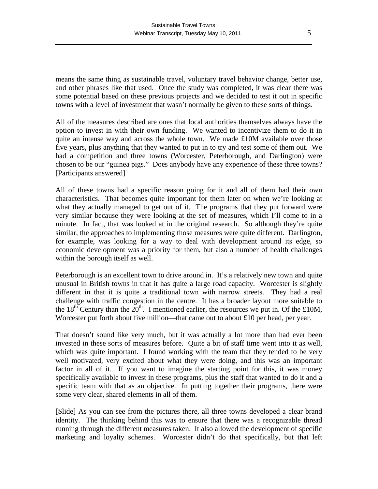means the same thing as sustainable travel, voluntary travel behavior change, better use, and other phrases like that used. Once the study was completed, it was clear there was some potential based on these previous projects and we decided to test it out in specific towns with a level of investment that wasn't normally be given to these sorts of things.

All of the measures described are ones that local authorities themselves always have the option to invest in with their own funding. We wanted to incentivize them to do it in quite an intense way and across the whole town. We made £10M available over those five years, plus anything that they wanted to put in to try and test some of them out. We had a competition and three towns (Worcester, Peterborough, and Darlington) were chosen to be our "guinea pigs." Does anybody have any experience of these three towns? [Participants answered]

All of these towns had a specific reason going for it and all of them had their own characteristics. That becomes quite important for them later on when we're looking at what they actually managed to get out of it. The programs that they put forward were very similar because they were looking at the set of measures, which I'll come to in a minute. In fact, that was looked at in the original research. So although they're quite similar, the approaches to implementing those measures were quite different. Darlington, for example, was looking for a way to deal with development around its edge, so economic development was a priority for them, but also a number of health challenges within the borough itself as well.

Peterborough is an excellent town to drive around in. It's a relatively new town and quite unusual in British towns in that it has quite a large road capacity. Worcester is slightly different in that it is quite a traditional town with narrow streets. They had a real challenge with traffic congestion in the centre. It has a broader layout more suitable to the 18<sup>th</sup> Century than the  $20^{th}$ . I mentioned earlier, the resources we put in. Of the £10M, Worcester put forth about five million—that came out to about £10 per head, per year.

That doesn't sound like very much, but it was actually a lot more than had ever been invested in these sorts of measures before. Quite a bit of staff time went into it as well, which was quite important. I found working with the team that they tended to be very well motivated, very excited about what they were doing, and this was an important factor in all of it. If you want to imagine the starting point for this, it was money specifically available to invest in these programs, plus the staff that wanted to do it and a specific team with that as an objective. In putting together their programs, there were some very clear, shared elements in all of them.

[Slide] As you can see from the pictures there, all three towns developed a clear brand identity. The thinking behind this was to ensure that there was a recognizable thread running through the different measures taken. It also allowed the development of specific marketing and loyalty schemes. Worcester didn't do that specifically, but that left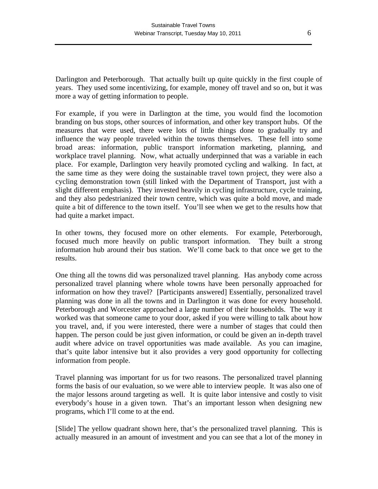Darlington and Peterborough. That actually built up quite quickly in the first couple of years. They used some incentivizing, for example, money off travel and so on, but it was more a way of getting information to people.

For example, if you were in Darlington at the time, you would find the locomotion branding on bus stops, other sources of information, and other key transport hubs. Of the measures that were used, there were lots of little things done to gradually try and influence the way people traveled within the towns themselves. These fell into some broad areas: information, public transport information marketing, planning, and workplace travel planning. Now, what actually underpinned that was a variable in each place. For example, Darlington very heavily promoted cycling and walking. In fact, at the same time as they were doing the sustainable travel town project, they were also a cycling demonstration town (still linked with the Department of Transport, just with a slight different emphasis). They invested heavily in cycling infrastructure, cycle training, and they also pedestrianized their town centre, which was quite a bold move, and made quite a bit of difference to the town itself. You'll see when we get to the results how that had quite a market impact.

In other towns, they focused more on other elements. For example, Peterborough, focused much more heavily on public transport information. They built a strong information hub around their bus station. We'll come back to that once we get to the results.

One thing all the towns did was personalized travel planning. Has anybody come across personalized travel planning where whole towns have been personally approached for information on how they travel? [Participants answered] Essentially, personalized travel planning was done in all the towns and in Darlington it was done for every household. Peterborough and Worcester approached a large number of their households. The way it worked was that someone came to your door, asked if you were willing to talk about how you travel, and, if you were interested, there were a number of stages that could then happen. The person could be just given information, or could be given an in-depth travel audit where advice on travel opportunities was made available. As you can imagine, that's quite labor intensive but it also provides a very good opportunity for collecting information from people.

Travel planning was important for us for two reasons. The personalized travel planning forms the basis of our evaluation, so we were able to interview people. It was also one of the major lessons around targeting as well. It is quite labor intensive and costly to visit everybody's house in a given town. That's an important lesson when designing new programs, which I'll come to at the end.

[Slide] The yellow quadrant shown here, that's the personalized travel planning. This is actually measured in an amount of investment and you can see that a lot of the money in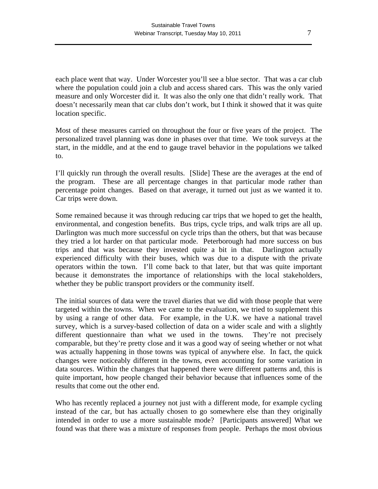each place went that way. Under Worcester you'll see a blue sector. That was a car club where the population could join a club and access shared cars. This was the only varied measure and only Worcester did it. It was also the only one that didn't really work. That doesn't necessarily mean that car clubs don't work, but I think it showed that it was quite location specific.

Most of these measures carried on throughout the four or five years of the project. The personalized travel planning was done in phases over that time. We took surveys at the start, in the middle, and at the end to gauge travel behavior in the populations we talked to.

I'll quickly run through the overall results. [Slide] These are the averages at the end of the program. These are all percentage changes in that particular mode rather than percentage point changes. Based on that average, it turned out just as we wanted it to. Car trips were down.

Some remained because it was through reducing car trips that we hoped to get the health, environmental, and congestion benefits. Bus trips, cycle trips, and walk trips are all up. Darlington was much more successful on cycle trips than the others, but that was because they tried a lot harder on that particular mode. Peterborough had more success on bus trips and that was because they invested quite a bit in that. Darlington actually experienced difficulty with their buses, which was due to a dispute with the private operators within the town. I'll come back to that later, but that was quite important because it demonstrates the importance of relationships with the local stakeholders, whether they be public transport providers or the community itself.

The initial sources of data were the travel diaries that we did with those people that were targeted within the towns. When we came to the evaluation, we tried to supplement this by using a range of other data. For example, in the U.K. we have a national travel survey, which is a survey-based collection of data on a wider scale and with a slightly different questionnaire than what we used in the towns. They're not precisely comparable, but they're pretty close and it was a good way of seeing whether or not what was actually happening in those towns was typical of anywhere else. In fact, the quick changes were noticeably different in the towns, even accounting for some variation in data sources. Within the changes that happened there were different patterns and, this is quite important, how people changed their behavior because that influences some of the results that come out the other end.

Who has recently replaced a journey not just with a different mode, for example cycling instead of the car, but has actually chosen to go somewhere else than they originally intended in order to use a more sustainable mode? [Participants answered] What we found was that there was a mixture of responses from people. Perhaps the most obvious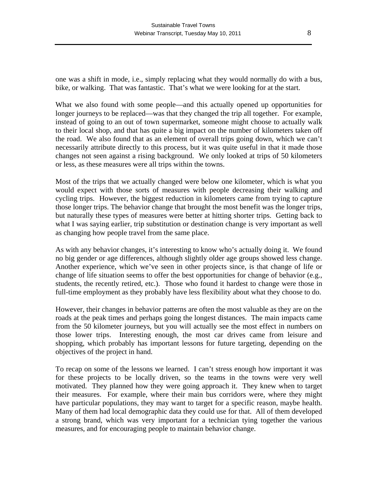one was a shift in mode, i.e., simply replacing what they would normally do with a bus, bike, or walking. That was fantastic. That's what we were looking for at the start.

What we also found with some people—and this actually opened up opportunities for longer journeys to be replaced—was that they changed the trip all together. For example, instead of going to an out of town supermarket, someone might choose to actually walk to their local shop, and that has quite a big impact on the number of kilometers taken off the road. We also found that as an element of overall trips going down, which we can't necessarily attribute directly to this process, but it was quite useful in that it made those changes not seen against a rising background. We only looked at trips of 50 kilometers or less, as these measures were all trips within the towns.

Most of the trips that we actually changed were below one kilometer, which is what you would expect with those sorts of measures with people decreasing their walking and cycling trips. However, the biggest reduction in kilometers came from trying to capture those longer trips. The behavior change that brought the most benefit was the longer trips, but naturally these types of measures were better at hitting shorter trips. Getting back to what I was saying earlier, trip substitution or destination change is very important as well as changing how people travel from the same place.

As with any behavior changes, it's interesting to know who's actually doing it. We found no big gender or age differences, although slightly older age groups showed less change. Another experience, which we've seen in other projects since, is that change of life or change of life situation seems to offer the best opportunities for change of behavior (e.g., students, the recently retired, etc.). Those who found it hardest to change were those in full-time employment as they probably have less flexibility about what they choose to do.

However, their changes in behavior patterns are often the most valuable as they are on the roads at the peak times and perhaps going the longest distances. The main impacts came from the 50 kilometer journeys, but you will actually see the most effect in numbers on those lower trips. Interesting enough, the most car drives came from leisure and shopping, which probably has important lessons for future targeting, depending on the objectives of the project in hand.

To recap on some of the lessons we learned. I can't stress enough how important it was for these projects to be locally driven, so the teams in the towns were very well motivated. They planned how they were going approach it. They knew when to target their measures. For example, where their main bus corridors were, where they might have particular populations, they may want to target for a specific reason, maybe health. Many of them had local demographic data they could use for that. All of them developed a strong brand, which was very important for a technician tying together the various measures, and for encouraging people to maintain behavior change.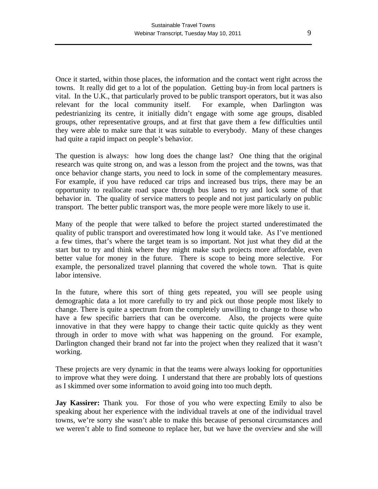Once it started, within those places, the information and the contact went right across the towns. It really did get to a lot of the population. Getting buy-in from local partners is vital. In the U.K., that particularly proved to be public transport operators, but it was also relevant for the local community itself. For example, when Darlington was

pedestrianizing its centre, it initially didn't engage with some age groups, disabled groups, other representative groups, and at first that gave them a few difficulties until they were able to make sure that it was suitable to everybody. Many of these changes had quite a rapid impact on people's behavior.

The question is always: how long does the change last? One thing that the original research was quite strong on, and was a lesson from the project and the towns, was that once behavior change starts, you need to lock in some of the complementary measures. For example, if you have reduced car trips and increased bus trips, there may be an opportunity to reallocate road space through bus lanes to try and lock some of that behavior in. The quality of service matters to people and not just particularly on public transport. The better public transport was, the more people were more likely to use it.

Many of the people that were talked to before the project started underestimated the quality of public transport and overestimated how long it would take. As I've mentioned a few times, that's where the target team is so important. Not just what they did at the start but to try and think where they might make such projects more affordable, even better value for money in the future. There is scope to being more selective. For example, the personalized travel planning that covered the whole town. That is quite labor intensive.

In the future, where this sort of thing gets repeated, you will see people using demographic data a lot more carefully to try and pick out those people most likely to change. There is quite a spectrum from the completely unwilling to change to those who have a few specific barriers that can be overcome. Also, the projects were quite innovative in that they were happy to change their tactic quite quickly as they went through in order to move with what was happening on the ground. For example, Darlington changed their brand not far into the project when they realized that it wasn't working.

These projects are very dynamic in that the teams were always looking for opportunities to improve what they were doing. I understand that there are probably lots of questions as I skimmed over some information to avoid going into too much depth.

**Jay Kassirer:** Thank you. For those of you who were expecting Emily to also be speaking about her experience with the individual travels at one of the individual travel towns, we're sorry she wasn't able to make this because of personal circumstances and we weren't able to find someone to replace her, but we have the overview and she will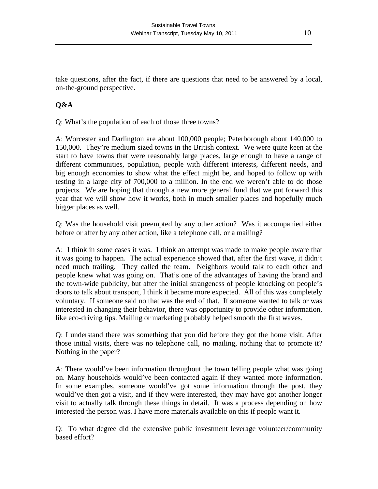take questions, after the fact, if there are questions that need to be answered by a local, on-the-ground perspective.

#### **Q&A**

Q: What's the population of each of those three towns?

A: Worcester and Darlington are about 100,000 people; Peterborough about 140,000 to 150,000. They're medium sized towns in the British context. We were quite keen at the start to have towns that were reasonably large places, large enough to have a range of different communities, population, people with different interests, different needs, and big enough economies to show what the effect might be, and hoped to follow up with testing in a large city of 700,000 to a million. In the end we weren't able to do those projects. We are hoping that through a new more general fund that we put forward this year that we will show how it works, both in much smaller places and hopefully much bigger places as well.

Q: Was the household visit preempted by any other action? Was it accompanied either before or after by any other action, like a telephone call, or a mailing?

A: I think in some cases it was. I think an attempt was made to make people aware that it was going to happen. The actual experience showed that, after the first wave, it didn't need much trailing. They called the team. Neighbors would talk to each other and people knew what was going on. That's one of the advantages of having the brand and the town-wide publicity, but after the initial strangeness of people knocking on people's doors to talk about transport, I think it became more expected. All of this was completely voluntary. If someone said no that was the end of that. If someone wanted to talk or was interested in changing their behavior, there was opportunity to provide other information, like eco-driving tips. Mailing or marketing probably helped smooth the first waves.

Q: I understand there was something that you did before they got the home visit. After those initial visits, there was no telephone call, no mailing, nothing that to promote it? Nothing in the paper?

A: There would've been information throughout the town telling people what was going on. Many households would've been contacted again if they wanted more information. In some examples, someone would've got some information through the post, they would've then got a visit, and if they were interested, they may have got another longer visit to actually talk through these things in detail. It was a process depending on how interested the person was. I have more materials available on this if people want it.

Q: To what degree did the extensive public investment leverage volunteer/community based effort?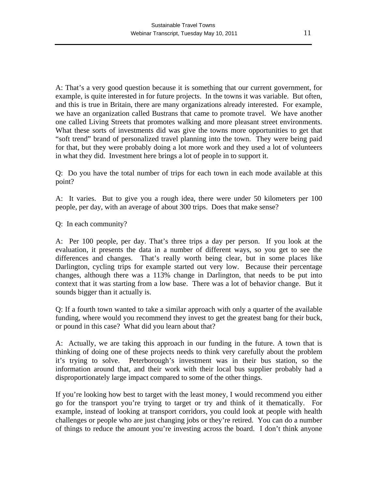A: That's a very good question because it is something that our current government, for example, is quite interested in for future projects. In the towns it was variable. But often, and this is true in Britain, there are many organizations already interested. For example, we have an organization called Bustrans that came to promote travel. We have another one called Living Streets that promotes walking and more pleasant street environments. What these sorts of investments did was give the towns more opportunities to get that "soft trend" brand of personalized travel planning into the town. They were being paid for that, but they were probably doing a lot more work and they used a lot of volunteers in what they did. Investment here brings a lot of people in to support it.

Q: Do you have the total number of trips for each town in each mode available at this point?

A: It varies. But to give you a rough idea, there were under 50 kilometers per 100 people, per day, with an average of about 300 trips. Does that make sense?

Q: In each community?

A: Per 100 people, per day. That's three trips a day per person. If you look at the evaluation, it presents the data in a number of different ways, so you get to see the differences and changes. That's really worth being clear, but in some places like Darlington, cycling trips for example started out very low. Because their percentage changes, although there was a 113% change in Darlington, that needs to be put into context that it was starting from a low base. There was a lot of behavior change. But it sounds bigger than it actually is.

Q: If a fourth town wanted to take a similar approach with only a quarter of the available funding, where would you recommend they invest to get the greatest bang for their buck, or pound in this case? What did you learn about that?

A: Actually, we are taking this approach in our funding in the future. A town that is thinking of doing one of these projects needs to think very carefully about the problem it's trying to solve. Peterborough's investment was in their bus station, so the information around that, and their work with their local bus supplier probably had a disproportionately large impact compared to some of the other things.

If you're looking how best to target with the least money, I would recommend you either go for the transport you're trying to target or try and think of it thematically. For example, instead of looking at transport corridors, you could look at people with health challenges or people who are just changing jobs or they're retired. You can do a number of things to reduce the amount you're investing across the board. I don't think anyone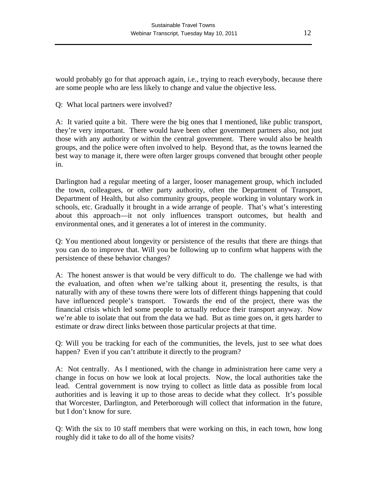would probably go for that approach again, i.e., trying to reach everybody, because there are some people who are less likely to change and value the objective less.

Q: What local partners were involved?

A: It varied quite a bit. There were the big ones that I mentioned, like public transport, they're very important. There would have been other government partners also, not just those with any authority or within the central government. There would also be health groups, and the police were often involved to help. Beyond that, as the towns learned the best way to manage it, there were often larger groups convened that brought other people in.

Darlington had a regular meeting of a larger, looser management group, which included the town, colleagues, or other party authority, often the Department of Transport, Department of Health, but also community groups, people working in voluntary work in schools, etc. Gradually it brought in a wide arrange of people. That's what's interesting about this approach—it not only influences transport outcomes, but health and environmental ones, and it generates a lot of interest in the community.

Q: You mentioned about longevity or persistence of the results that there are things that you can do to improve that. Will you be following up to confirm what happens with the persistence of these behavior changes?

A: The honest answer is that would be very difficult to do. The challenge we had with the evaluation, and often when we're talking about it, presenting the results, is that naturally with any of these towns there were lots of different things happening that could have influenced people's transport. Towards the end of the project, there was the financial crisis which led some people to actually reduce their transport anyway. Now we're able to isolate that out from the data we had. But as time goes on, it gets harder to estimate or draw direct links between those particular projects at that time.

Q: Will you be tracking for each of the communities, the levels, just to see what does happen? Even if you can't attribute it directly to the program?

A: Not centrally. As I mentioned, with the change in administration here came very a change in focus on how we look at local projects. Now, the local authorities take the lead. Central government is now trying to collect as little data as possible from local authorities and is leaving it up to those areas to decide what they collect. It's possible that Worcester, Darlington, and Peterborough will collect that information in the future, but I don't know for sure.

Q: With the six to 10 staff members that were working on this, in each town, how long roughly did it take to do all of the home visits?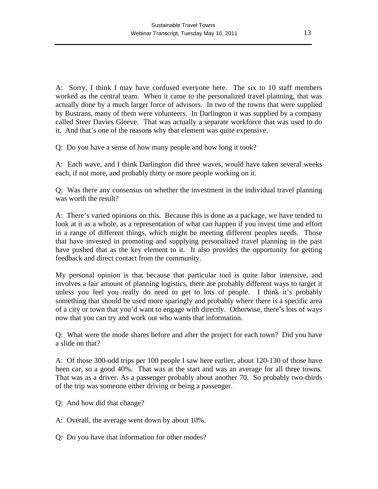A: Sorry, I think I may have confused everyone here. The six to 10 staff members worked as the central team. When it came to the personalized travel planning, that was actually done by a much larger force of advisors. In two of the towns that were supplied by Bustrans, many of them were volunteers. In Darlington it was supplied by a company called Steer Davies Gleeve. That was actually a separate workforce that was used to do it. And that's one of the reasons why that element was quite expensive.

Q: Do you have a sense of how many people and how long it took?

A: Each wave, and I think Darlington did three waves, would have taken several weeks each, if not more, and probably thirty or more people working on it.

Q: Was there any consensus on whether the investment in the individual travel planning was worth the result?

A: There's varied opinions on this. Because this is done as a package, we have tended to look at it as a whole, as a representation of what can happen if you invest time and effort in a range of different things, which might be meeting different peoples needs. Those that have invested in promoting and supplying personalized travel planning in the past have pushed that as the key element to it. It also provides the opportunity for getting feedback and direct contact from the community.

My personal opinion is that because that particular tool is quite labor intensive, and involves a fair amount of planning logistics, there are probably different ways to target it unless you feel you really do need to get to lots of people. I think it's probably something that should be used more sparingly and probably where there is a specific area of a city or town that you'd want to engage with directly. Otherwise, there's lots of ways now that you can try and work out who wants that information.

Q: What were the mode shares before and after the project for each town? Did you have a slide on that?

A: Of those 300-odd trips per 100 people I saw here earlier, about 120-130 of those have been car, so a good 40%. That was at the start and was an average for all three towns. That was as a driver. As a passenger probably about another 70. So probably two-thirds of the trip was someone either driving or being a passenger.

- Q: And how did that change?
- A: Overall, the average went down by about 10%.
- Q: Do you have that information for other modes?